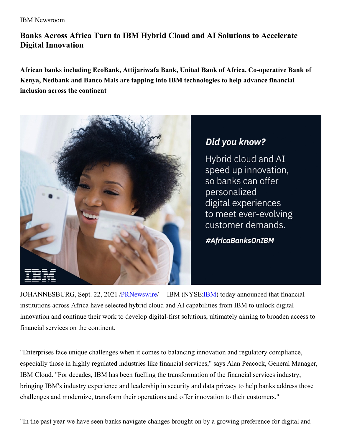## **Banks Across Africa Turn to IBM Hybrid Cloud and AI Solutions to Accelerate Digital Innovation**

**African banks including EcoBank, Attijariwafa Bank, United Bank of Africa, Co-operative Bank of Kenya, Nedbank and Banco Mais are tapping into IBM technologies to help advance financial inclusion across the continent**



## Did you know?

Hybrid cloud and AI speed up innovation, so banks can offer personalized digital experiences to meet ever-evolving customer demands.

#AfricaBanksOnIBM

JOHANNESBURG, Sept. 22, 2021 [/PRNewswire](http://www.prnewswire.com/)/ -- IBM (NYSE[:IBM](https://c212.net/c/link/?t=0&l=en&o=3299598-1&h=338073002&u=https%3A%2F%2Fwww.ibm.com%2Finvestor&a=IBM)) today announced that financial institutions across Africa have selected hybrid cloud and AI capabilities from IBM to unlock digital innovation and continue their work to develop digital-first solutions, ultimately aiming to broaden access to financial services on the continent.

"Enterprises face unique challenges when it comes to balancing innovation and regulatory compliance, especially those in highly regulated industries like financial services," says Alan Peacock, General Manager, IBM Cloud. "For decades, IBM has been fuelling the transformation of the financial services industry, bringing IBM's industry experience and leadership in security and data privacy to help banks address those challenges and modernize, transform their operations and offer innovation to their customers."

"In the past year we have seen banks navigate changes brought on by a growing preference for digital and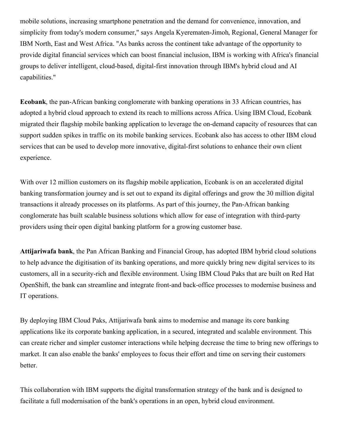mobile solutions, increasing smartphone penetration and the demand for convenience, innovation, and simplicity from today's modern consumer," says Angela Kyerematen-Jimoh, Regional, General Manager for IBM North, East and West Africa. "As banks across the continent take advantage of the opportunity to provide digital financial services which can boost financial inclusion, IBM is working with Africa's financial groups to deliver intelligent, cloud-based, digital-first innovation through IBM's hybrid cloud and AI capabilities."

**Ecobank**, the pan-African banking conglomerate with banking operations in 33 African countries, has adopted a hybrid cloud approach to extend its reach to millions across Africa. Using IBM Cloud, Ecobank migrated their flagship mobile banking application to leverage the on-demand capacity of resources that can support sudden spikes in traffic on its mobile banking services. Ecobank also has access to other IBM cloud services that can be used to develop more innovative, digital-first solutions to enhance their own client experience.

With over 12 million customers on its flagship mobile application, Ecobank is on an accelerated digital banking transformation journey and is set out to expand its digital offerings and grow the 30 million digital transactions it already processes on its platforms. As part of this journey, the Pan-African banking conglomerate has built scalable business solutions which allow for ease of integration with third-party providers using their open digital banking platform for a growing customer base.

**Attijariwafa bank**, the Pan African Banking and Financial Group, has adopted IBM hybrid cloud solutions to help advance the digitisation of its banking operations, and more quickly bring new digital services to its customers, all in a security-rich and flexible environment. Using IBM Cloud Paks that are built on Red Hat OpenShift, the bank can streamline and integrate front-and back-office processes to modernise business and IT operations.

By deploying IBM Cloud Paks, Attijariwafa bank aims to modernise and manage its core banking applications like its corporate banking application, in a secured, integrated and scalable environment. This can create richer and simpler customer interactions while helping decrease the time to bring new offerings to market. It can also enable the banks' employees to focus their effort and time on serving their customers better.

This collaboration with IBM supports the digital transformation strategy of the bank and is designed to facilitate a full modernisation of the bank's operations in an open, hybrid cloud environment.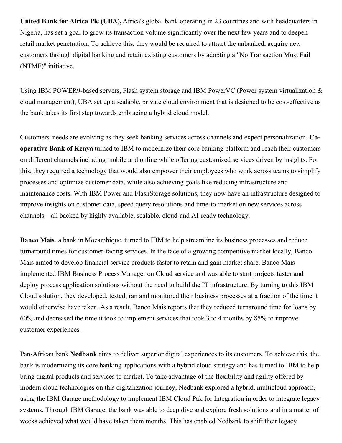**United Bank for Africa Plc (UBA),** Africa's global bank operating in 23 countries and with headquarters in Nigeria, has set a goal to grow its transaction volume significantly over the next few years and to deepen retail market penetration. To achieve this, they would be required to attract the unbanked, acquire new customers through digital banking and retain existing customers by adopting a "No Transaction Must Fail (NTMF)" initiative.

Using IBM POWER9-based servers, Flash system storage and IBM PowerVC (Power system virtualization & cloud management), UBA set up a scalable, private cloud environment that is designed to be cost-effective as the bank takes its first step towards embracing a hybrid cloud model.

Customers' needs are evolving as they seek banking services across channels and expect personalization. **Cooperative Bank of Kenya** turned to IBM to modernize their core banking platform and reach their customers on different channels including mobile and online while offering customized services driven by insights. For this, they required a technology that would also empower their employees who work across teams to simplify processes and optimize customer data, while also achieving goals like reducing infrastructure and maintenance costs. With IBM Power and FlashStorage solutions, they now have an infrastructure designed to improve insights on customer data, speed query resolutions and time-to-market on new services across channels – all backed by highly available, scalable, cloud-and AI-ready technology.

**Banco Mais**, a bank in Mozambique, turned to IBM to help streamline its business processes and reduce turnaround times for customer-facing services. In the face of a growing competitive market locally, Banco Mais aimed to develop financial service products faster to retain and gain market share. Banco Mais implemented IBM Business Process Manager on Cloud service and was able to start projects faster and deploy process application solutions without the need to build the IT infrastructure. By turning to this IBM Cloud solution, they developed, tested, ran and monitored their business processes at a fraction of the time it would otherwise have taken. As a result, Banco Mais reports that they reduced turnaround time for loans by 60% and decreased the time it took to implement services that took 3 to 4 months by 85% to improve customer experiences.

Pan-African bank **Nedbank** aims to deliver superior digital experiences to its customers. To achieve this, the bank is modernizing its core banking applications with a hybrid cloud strategy and has turned to IBM to help bring digital products and services to market. To take advantage of the flexibility and agility offered by modern cloud technologies on this digitalization journey, Nedbank explored a hybrid, multicloud approach, using the IBM Garage methodology to implement IBM Cloud Pak for Integration in order to integrate legacy systems. Through IBM Garage, the bank was able to deep dive and explore fresh solutions and in a matter of weeks achieved what would have taken them months. This has enabled Nedbank to shift their legacy